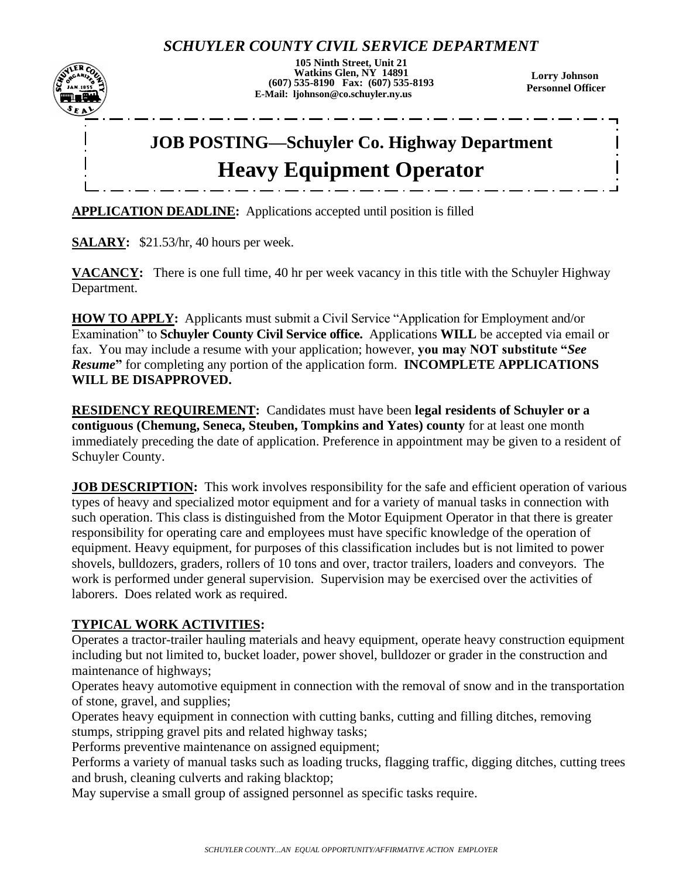## *SCHUYLER COUNTY CIVIL SERVICE DEPARTMENT*



**105 Ninth Street, Unit 21 Watkins Glen, NY 14891 (607) 535-8190 Fax: (607) 535-8193 E-Mail: ljohnson@co.schuyler.ny.us**

**Lorry Johnson Personnel Officer**

# **JOB POSTING—Schuyler Co. Highway Department Heavy Equipment Operator**

**APPLICATION DEADLINE:** Applications accepted until position is filled

**SALARY:** \$21.53/hr, 40 hours per week.

**VACANCY:** There is one full time, 40 hr per week vacancy in this title with the Schuyler Highway Department.

**HOW TO APPLY:** Applicants must submit a Civil Service "Application for Employment and/or Examination" to **Schuyler County Civil Service office.** Applications **WILL** be accepted via email or fax. You may include a resume with your application; however, **you may NOT substitute "***See Resume***"** for completing any portion of the application form. **INCOMPLETE APPLICATIONS WILL BE DISAPPROVED.**

**RESIDENCY REQUIREMENT:** Candidates must have been **legal residents of Schuyler or a contiguous (Chemung, Seneca, Steuben, Tompkins and Yates) county** for at least one month immediately preceding the date of application. Preference in appointment may be given to a resident of Schuyler County.

**JOB DESCRIPTION:** This work involves responsibility for the safe and efficient operation of various types of heavy and specialized motor equipment and for a variety of manual tasks in connection with such operation. This class is distinguished from the Motor Equipment Operator in that there is greater responsibility for operating care and employees must have specific knowledge of the operation of equipment. Heavy equipment, for purposes of this classification includes but is not limited to power shovels, bulldozers, graders, rollers of 10 tons and over, tractor trailers, loaders and conveyors. The work is performed under general supervision. Supervision may be exercised over the activities of laborers. Does related work as required.

#### **TYPICAL WORK ACTIVITIES:**

Operates a tractor-trailer hauling materials and heavy equipment, operate heavy construction equipment including but not limited to, bucket loader, power shovel, bulldozer or grader in the construction and maintenance of highways;

Operates heavy automotive equipment in connection with the removal of snow and in the transportation of stone, gravel, and supplies;

Operates heavy equipment in connection with cutting banks, cutting and filling ditches, removing stumps, stripping gravel pits and related highway tasks;

Performs preventive maintenance on assigned equipment;

Performs a variety of manual tasks such as loading trucks, flagging traffic, digging ditches, cutting trees and brush, cleaning culverts and raking blacktop;

May supervise a small group of assigned personnel as specific tasks require.